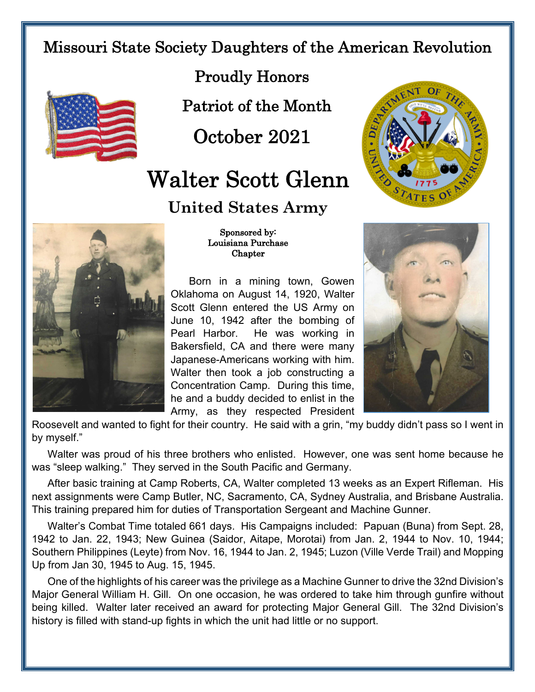## Missouri State Society Daughters of the American Revolution



Proudly Honors

Patriot of the Month

October 2021

## Walter Scott Glenn

## **United States Army**



 Sponsored by: Louisiana Purchase **Chapter** 

Born in a mining town, Gowen Oklahoma on August 14, 1920, Walter Scott Glenn entered the US Army on June 10, 1942 after the bombing of Pearl Harbor. He was working in Bakersfield, CA and there were many Japanese-Americans working with him. Walter then took a job constructing a Concentration Camp. During this time, he and a buddy decided to enlist in the Army, as they respected President





Roosevelt and wanted to fight for their country. He said with a grin, "my buddy didn't pass so I went in by myself."

Walter was proud of his three brothers who enlisted. However, one was sent home because he was "sleep walking." They served in the South Pacific and Germany.

After basic training at Camp Roberts, CA, Walter completed 13 weeks as an Expert Rifleman. His next assignments were Camp Butler, NC, Sacramento, CA, Sydney Australia, and Brisbane Australia. This training prepared him for duties of Transportation Sergeant and Machine Gunner.

Walter's Combat Time totaled 661 days. His Campaigns included: Papuan (Buna) from Sept. 28, 1942 to Jan. 22, 1943; New Guinea (Saidor, Aitape, Morotai) from Jan. 2, 1944 to Nov. 10, 1944; Southern Philippines (Leyte) from Nov. 16, 1944 to Jan. 2, 1945; Luzon (Ville Verde Trail) and Mopping Up from Jan 30, 1945 to Aug. 15, 1945.

One of the highlights of his career was the privilege as a Machine Gunner to drive the 32nd Division's Major General William H. Gill. On one occasion, he was ordered to take him through gunfire without being killed. Walter later received an award for protecting Major General Gill. The 32nd Division's history is filled with stand-up fights in which the unit had little or no support.